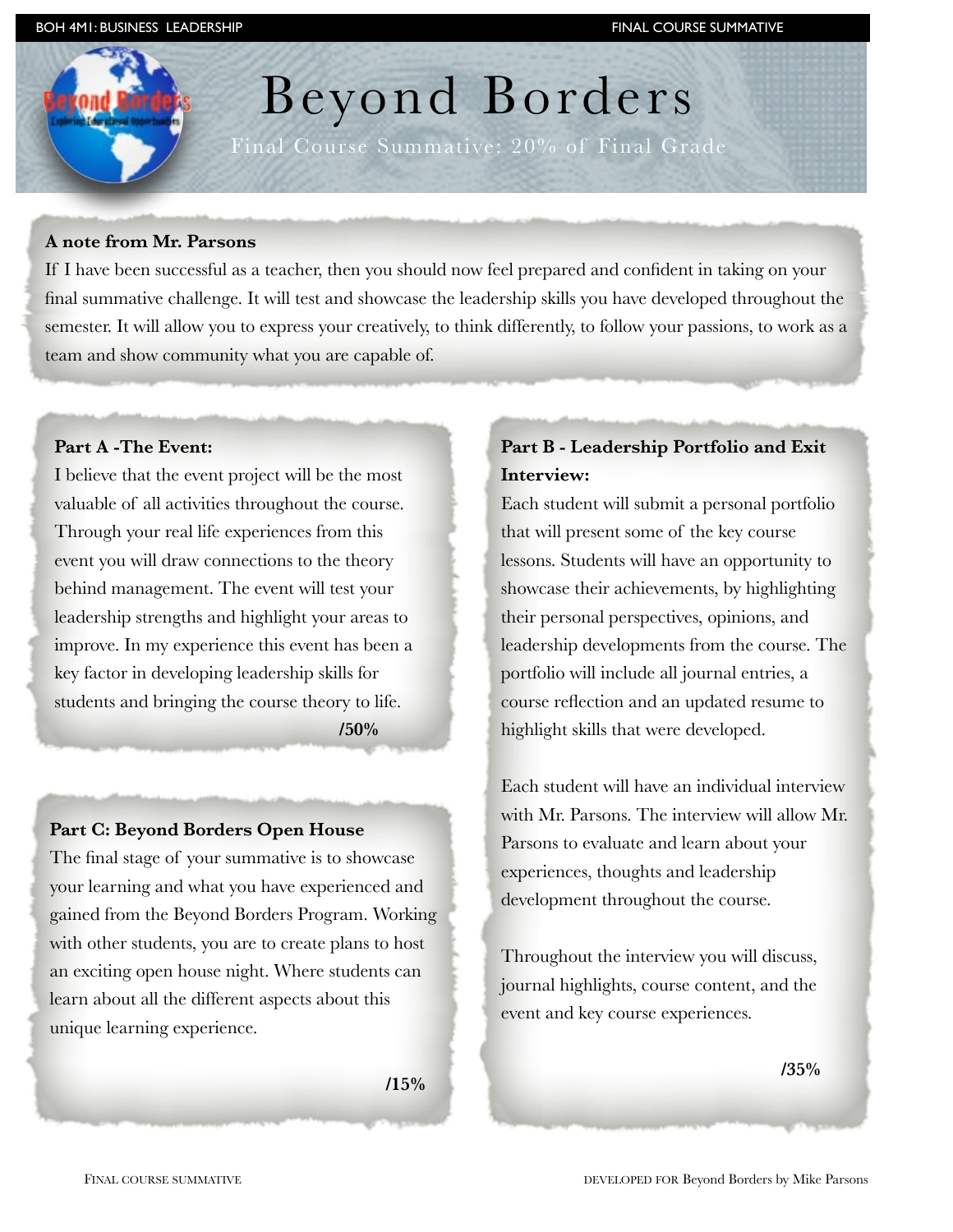# Beyond Borders

Final Course Summative: 20% of Final Grade

### **A note from Mr. Parsons**

If I have been successful as a teacher, then you should now feel prepared and confident in taking on your final summative challenge. It will test and showcase the leadership skills you have developed throughout the semester. It will allow you to express your creatively, to think differently, to follow your passions, to work as a team and show community what you are capable of.

## **Part A -The Event:**

I believe that the event project will be the most valuable of all activities throughout the course. Through your real life experiences from this event you will draw connections to the theory behind management. The event will test your leadership strengths and highlight your areas to improve. In my experience this event has been a key factor in developing leadership skills for students and bringing the course theory to life.

 **/50%**

### **Part C: Beyond Borders Open House**

The final stage of your summative is to showcase your learning and what you have experienced and gained from the Beyond Borders Program. Working with other students, you are to create plans to host an exciting open house night. Where students can learn about all the different aspects about this unique learning experience.

 $\frac{15\%}{2\%}$ 

# **Part B - Leadership Portfolio and Exit Interview:**

Each student will submit a personal portfolio that will present some of the key course lessons. Students will have an opportunity to showcase their achievements, by highlighting their personal perspectives, opinions, and leadership developments from the course. The portfolio will include all journal entries, a course reflection and an updated resume to highlight skills that were developed.

Each student will have an individual interview with Mr. Parsons. The interview will allow Mr. Parsons to evaluate and learn about your experiences, thoughts and leadership development throughout the course.

Throughout the interview you will discuss, journal highlights, course content, and the event and key course experiences.

 **/35%**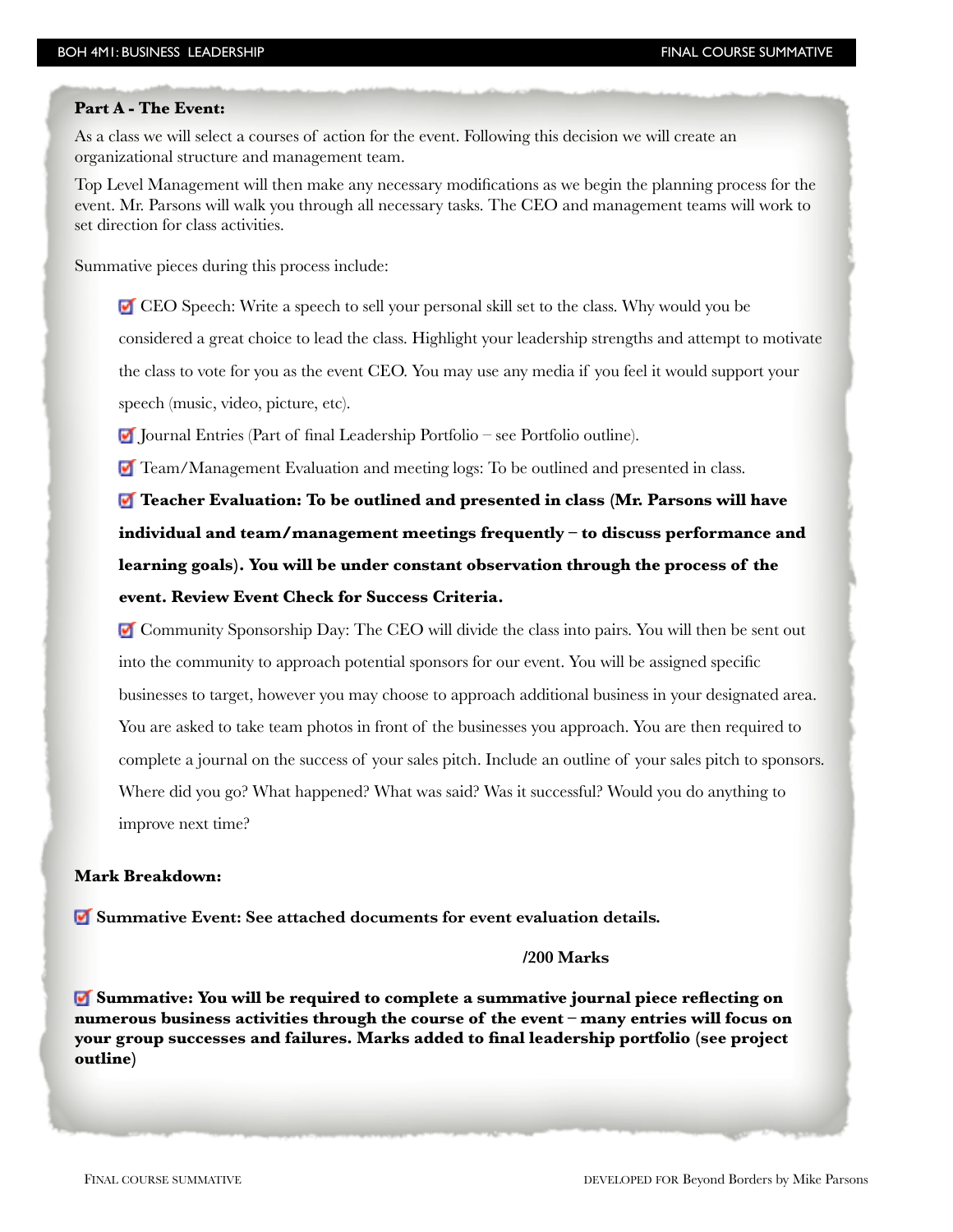#### **Part A - The Event:**

As a class we will select a courses of action for the event. Following this decision we will create an organizational structure and management team.

Top Level Management will then make any necessary modifications as we begin the planning process for the event. Mr. Parsons will walk you through all necessary tasks. The CEO and management teams will work to set direction for class activities.

Summative pieces during this process include:

 CEO Speech: Write a speech to sell your personal skill set to the class. Why would you be considered a great choice to lead the class. Highlight your leadership strengths and attempt to motivate the class to vote for you as the event CEO. You may use any media if you feel it would support your speech (music, video, picture, etc).

Journal Entries (Part of final Leadership Portfolio – see Portfolio outline).

Team/Management Evaluation and meeting logs: To be outlined and presented in class.

**Teacher Evaluation: To be outlined and presented in class (Mr. Parsons will have individual and team/management meetings frequently – to discuss performance and learning goals). You will be under constant observation through the process of the event. Review Event Check for Success Criteria.**

 Community Sponsorship Day: The CEO will divide the class into pairs. You will then be sent out into the community to approach potential sponsors for our event. You will be assigned specific businesses to target, however you may choose to approach additional business in your designated area. You are asked to take team photos in front of the businesses you approach. You are then required to complete a journal on the success of your sales pitch. Include an outline of your sales pitch to sponsors. Where did you go? What happened? What was said? Was it successful? Would you do anything to improve next time?

#### **Mark Breakdown:**

**Summative Event: See attached documents for event evaluation details.** 

#### **/200 Marks**

**Summative: You will be required to complete a summative journal piece reflecting on numerous business activities through the course of the event – many entries will focus on your group successes and failures. Marks added to final leadership portfolio (see project outline)**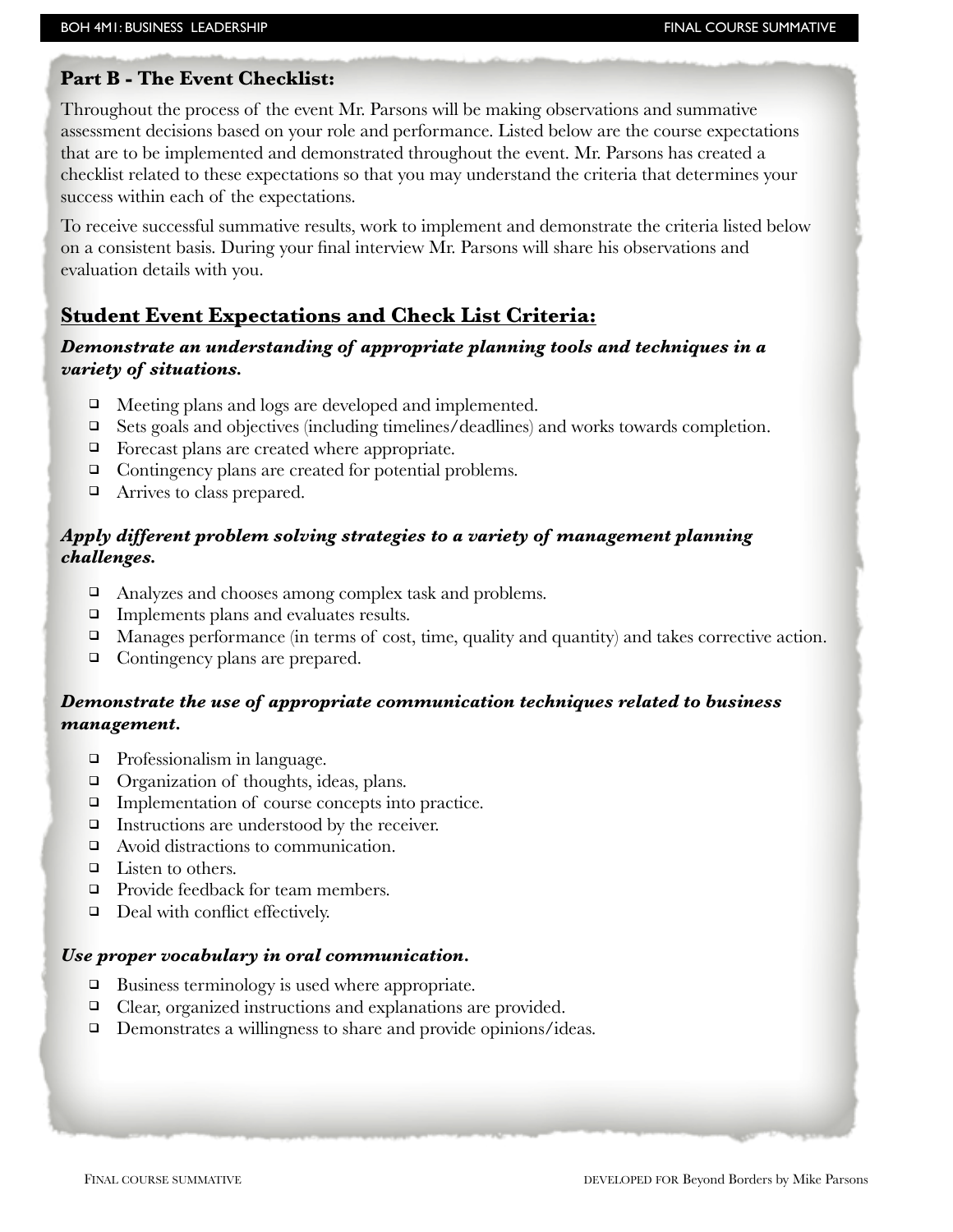## **Part B - The Event Checklist:**

Throughout the process of the event Mr. Parsons will be making observations and summative assessment decisions based on your role and performance. Listed below are the course expectations that are to be implemented and demonstrated throughout the event. Mr. Parsons has created a checklist related to these expectations so that you may understand the criteria that determines your success within each of the expectations.

To receive successful summative results, work to implement and demonstrate the criteria listed below on a consistent basis. During your final interview Mr. Parsons will share his observations and evaluation details with you.

# **Student Event Expectations and Check List Criteria:**

## *Demonstrate an understanding of appropriate planning tools and techniques in a variety of situations.*

- $\Box$  Meeting plans and logs are developed and implemented.
- $\Box$  Sets goals and objectives (including timelines/deadlines) and works towards completion.
- $\Box$  Forecast plans are created where appropriate.
- □ Contingency plans are created for potential problems.
- $\Box$  Arrives to class prepared.

## *Apply different problem solving strategies to a variety of management planning challenges.*

- □ Analyzes and chooses among complex task and problems.
- $\Box$  Implements plans and evaluates results.
- $\Box$  Manages performance (in terms of cost, time, quality and quantity) and takes corrective action.
- $\Box$  Contingency plans are prepared.

## *Demonstrate the use of appropriate communication techniques related to business management.*

- □ Professionalism in language.
- $\Box$  Organization of thoughts, ideas, plans.
- $\Box$  Implementation of course concepts into practice.
- $\Box$  Instructions are understood by the receiver.
- □ Avoid distractions to communication.
- $\Box$  Listen to others.
- □ Provide feedback for team members.
- $\Box$  Deal with conflict effectively.

### *Use proper vocabulary in oral communication.*

- $\Box$  Business terminology is used where appropriate.
- $\Box$  Clear, organized instructions and explanations are provided.
- $\Box$  Demonstrates a willingness to share and provide opinions/ideas.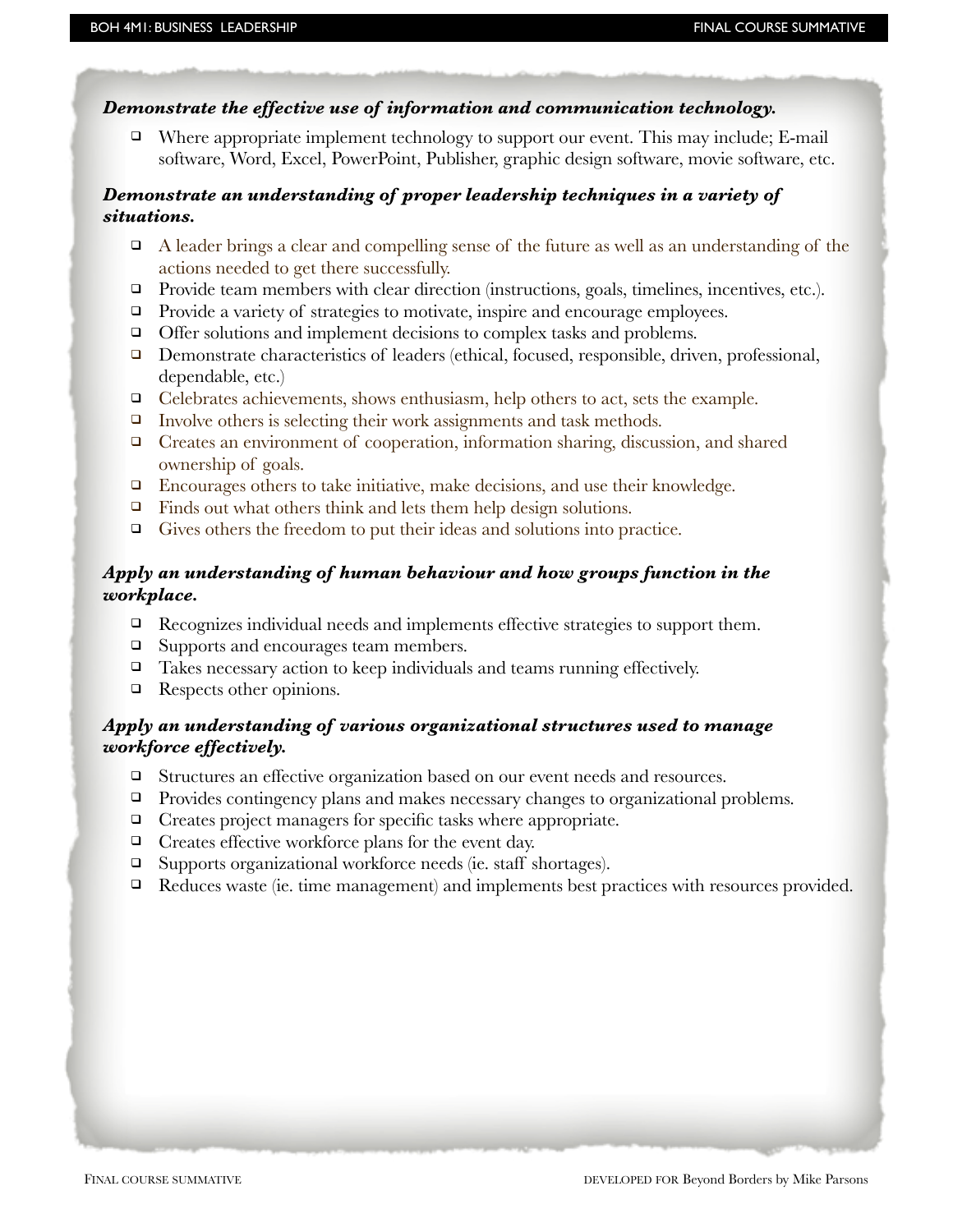## *Demonstrate the effective use of information and communication technology.*

 $\Box$  Where appropriate implement technology to support our event. This may include; E-mail software, Word, Excel, PowerPoint, Publisher, graphic design software, movie software, etc.

## *Demonstrate an understanding of proper leadership techniques in a variety of situations.*

- $\Box$  A leader brings a clear and compelling sense of the future as well as an understanding of the actions needed to get there successfully.
- $\Box$  Provide team members with clear direction (instructions, goals, timelines, incentives, etc.).
- Provide a variety of strategies to motivate, inspire and encourage employees.
- $\Box$  Offer solutions and implement decisions to complex tasks and problems.
- $\Box$  Demonstrate characteristics of leaders (ethical, focused, responsible, driven, professional, dependable, etc.)
- $\Box$  Celebrates achievements, shows enthusiasm, help others to act, sets the example.
- $\Box$  Involve others is selecting their work assignments and task methods.
- ! Creates an environment of cooperation, information sharing, discussion, and shared ownership of goals.
- $\Box$  Encourages others to take initiative, make decisions, and use their knowledge.
- $\Box$  Finds out what others think and lets them help design solutions.
- $\Box$  Gives others the freedom to put their ideas and solutions into practice.

## *Apply an understanding of human behaviour and how groups function in the workplace.*

- $\Box$  Recognizes individual needs and implements effective strategies to support them.
- □ Supports and encourages team members.
- $\Box$  Takes necessary action to keep individuals and teams running effectively.
- $\Box$  Respects other opinions.

## *Apply an understanding of various organizational structures used to manage workforce effectively.*

- ! Structures an effective organization based on our event needs and resources.
- □ Provides contingency plans and makes necessary changes to organizational problems.
- $\Box$  Creates project managers for specific tasks where appropriate.
- $\Box$  Creates effective workforce plans for the event day.
- □ Supports organizational workforce needs (ie. staff shortages).
- $\Box$  Reduces waste (ie. time management) and implements best practices with resources provided.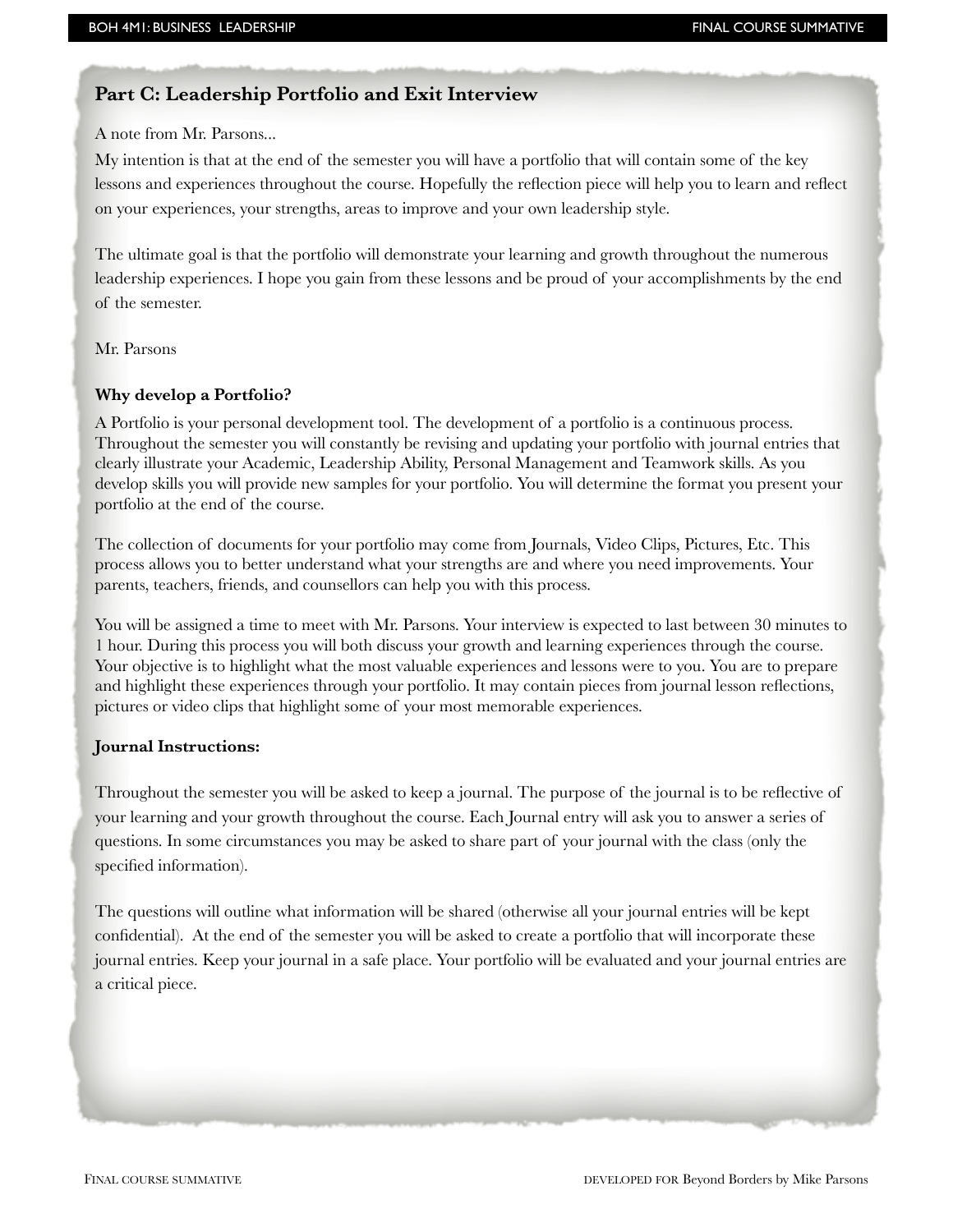## **Part C: Leadership Portfolio and Exit Interview**

A note from Mr. Parsons...

My intention is that at the end of the semester you will have a portfolio that will contain some of the key lessons and experiences throughout the course. Hopefully the reflection piece will help you to learn and reflect on your experiences, your strengths, areas to improve and your own leadership style.

The ultimate goal is that the portfolio will demonstrate your learning and growth throughout the numerous leadership experiences. I hope you gain from these lessons and be proud of your accomplishments by the end of the semester.

Mr. Parsons

#### **Why develop a Portfolio?**

A Portfolio is your personal development tool. The development of a portfolio is a continuous process. Throughout the semester you will constantly be revising and updating your portfolio with journal entries that clearly illustrate your Academic, Leadership Ability, Personal Management and Teamwork skills. As you develop skills you will provide new samples for your portfolio. You will determine the format you present your portfolio at the end of the course.

The collection of documents for your portfolio may come from Journals, Video Clips, Pictures, Etc. This process allows you to better understand what your strengths are and where you need improvements. Your parents, teachers, friends, and counsellors can help you with this process.

You will be assigned a time to meet with Mr. Parsons. Your interview is expected to last between 30 minutes to 1 hour. During this process you will both discuss your growth and learning experiences through the course. Your objective is to highlight what the most valuable experiences and lessons were to you. You are to prepare and highlight these experiences through your portfolio. It may contain pieces from journal lesson reflections, pictures or video clips that highlight some of your most memorable experiences.

#### **Journal Instructions:**

Throughout the semester you will be asked to keep a journal. The purpose of the journal is to be reflective of your learning and your growth throughout the course. Each Journal entry will ask you to answer a series of questions. In some circumstances you may be asked to share part of your journal with the class (only the specified information).

The questions will outline what information will be shared (otherwise all your journal entries will be kept confidential). At the end of the semester you will be asked to create a portfolio that will incorporate these journal entries. Keep your journal in a safe place. Your portfolio will be evaluated and your journal entries are a critical piece.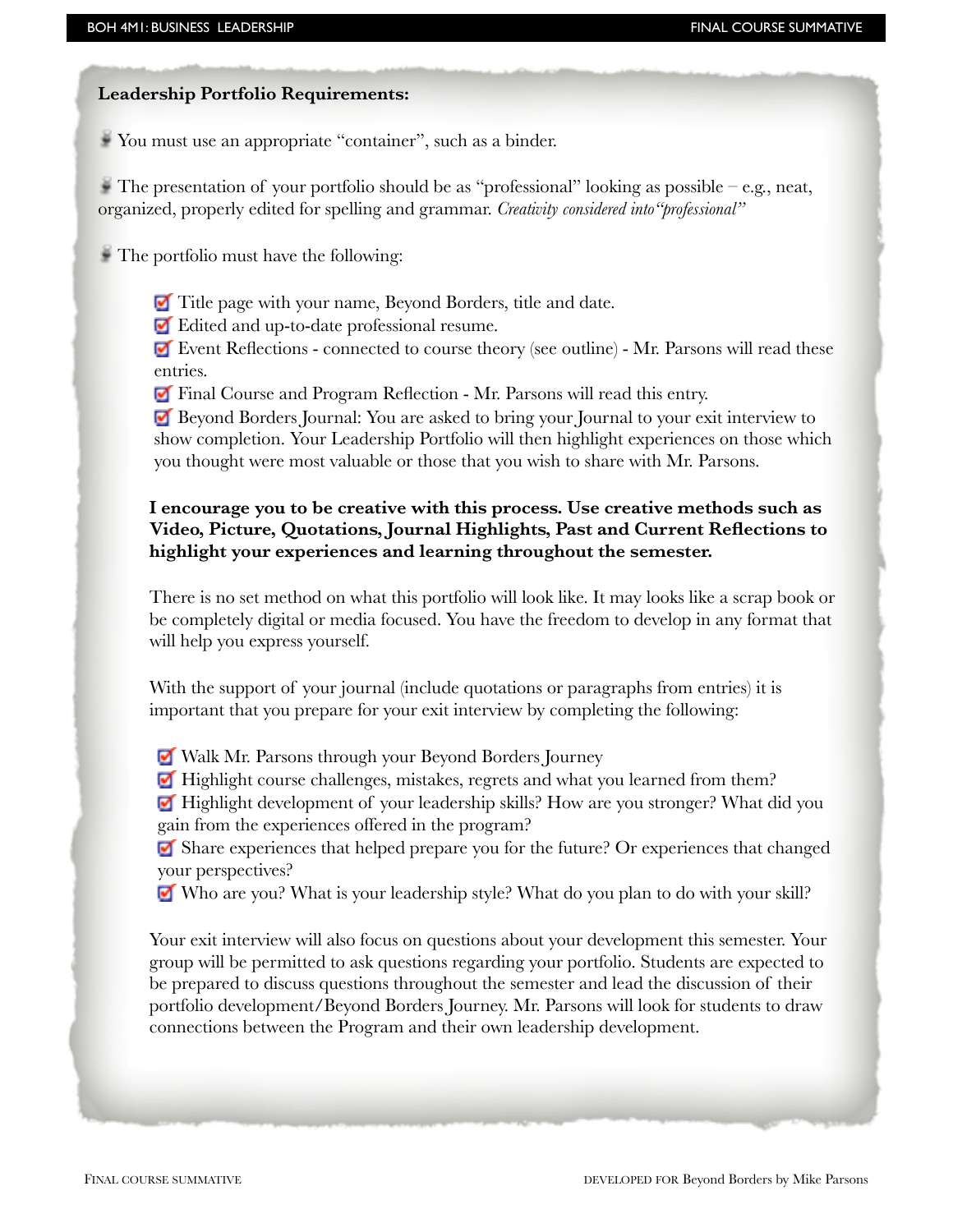## **Leadership Portfolio Requirements:**

You must use an appropriate "container", such as a binder.

The presentation of your portfolio should be as "professional" looking as possible – e.g., neat, organized, properly edited for spelling and grammar. *Creativity considered into"professional"*

The portfolio must have the following:

Title page with your name, Beyond Borders, title and date.

Edited and up-to-date professional resume.

 Event Reflections - connected to course theory (see outline) - Mr. Parsons will read these entries.

Final Course and Program Reflection - Mr. Parsons will read this entry.

 Beyond Borders Journal: You are asked to bring your Journal to your exit interview to show completion. Your Leadership Portfolio will then highlight experiences on those which you thought were most valuable or those that you wish to share with Mr. Parsons.

## **I encourage you to be creative with this process. Use creative methods such as Video, Picture, Quotations, Journal Highlights, Past and Current Reflections to highlight your experiences and learning throughout the semester.**

There is no set method on what this portfolio will look like. It may looks like a scrap book or be completely digital or media focused. You have the freedom to develop in any format that will help you express yourself.

With the support of your journal (include quotations or paragraphs from entries) it is important that you prepare for your exit interview by completing the following:

Walk Mr. Parsons through your Beyond Borders Journey

Highlight course challenges, mistakes, regrets and what you learned from them?

 Highlight development of your leadership skills? How are you stronger? What did you gain from the experiences offered in the program?

 Share experiences that helped prepare you for the future? Or experiences that changed your perspectives?

Who are you? What is your leadership style? What do you plan to do with your skill?

Your exit interview will also focus on questions about your development this semester. Your group will be permitted to ask questions regarding your portfolio. Students are expected to be prepared to discuss questions throughout the semester and lead the discussion of their portfolio development/Beyond Borders Journey. Mr. Parsons will look for students to draw connections between the Program and their own leadership development.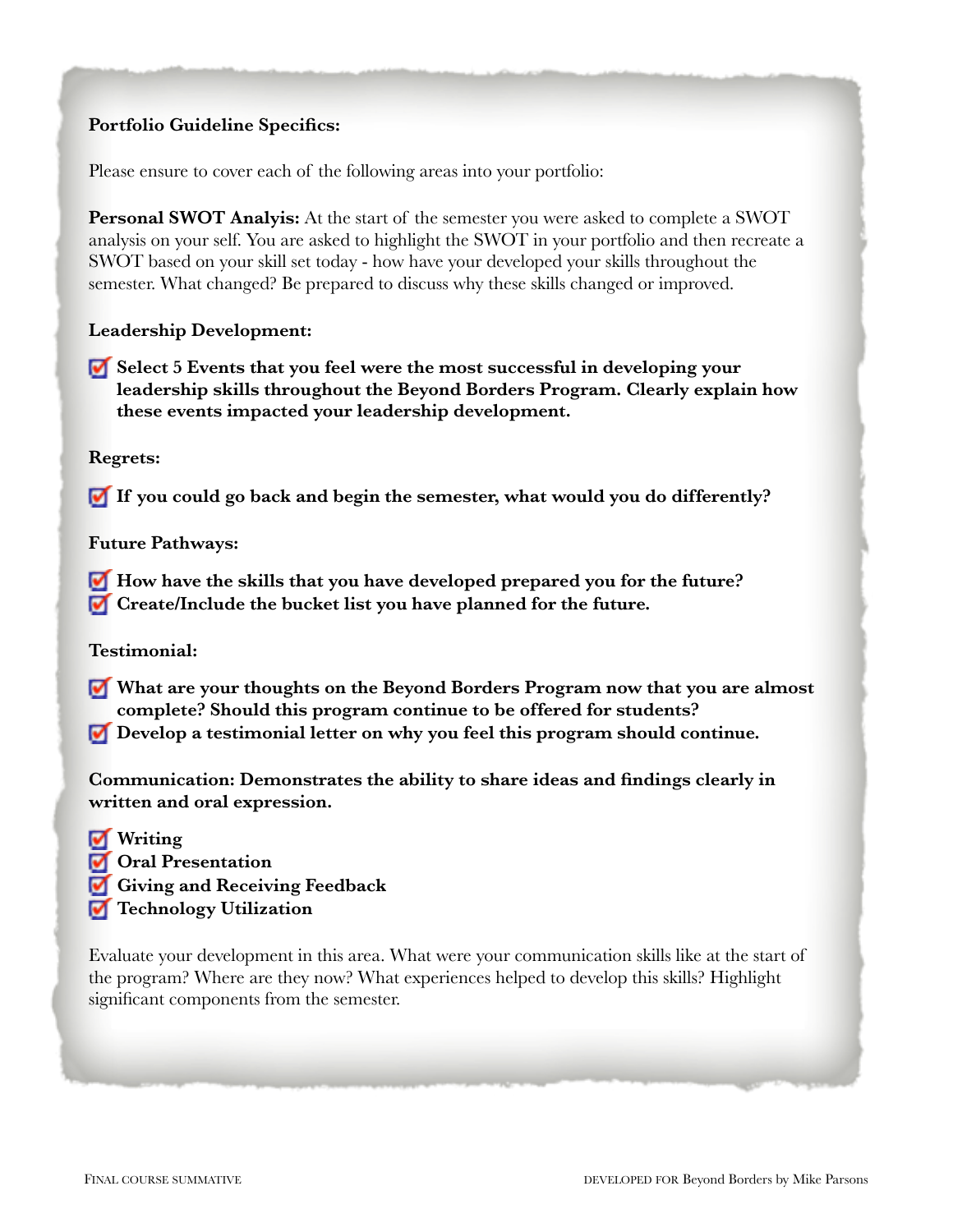## **Portfolio Guideline Specifics:**

Please ensure to cover each of the following areas into your portfolio:

**Personal SWOT Analyis:** At the start of the semester you were asked to complete a SWOT analysis on your self. You are asked to highlight the SWOT in your portfolio and then recreate a SWOT based on your skill set today - how have your developed your skills throughout the semester. What changed? Be prepared to discuss why these skills changed or improved.

## **Leadership Development:**

**Select 5 Events that you feel were the most successful in developing your leadership skills throughout the Beyond Borders Program. Clearly explain how these events impacted your leadership development.** 

## **Regrets:**

**If you could go back and begin the semester, what would you do differently?** 

## **Future Pathways:**

- **How have the skills that you have developed prepared you for the future?**
- **Create/Include the bucket list you have planned for the future.**

**Testimonial:** 

- **What are your thoughts on the Beyond Borders Program now that you are almost complete? Should this program continue to be offered for students?**
- **Develop a testimonial letter on why you feel this program should continue.**

**Communication: Demonstrates the ability to share ideas and findings clearly in written and oral expression.** 

- **Writing**
- *<u>I</u>* Oral Presentation
- **Giving and Receiving Feedback**
- **Technology Utilization**

Evaluate your development in this area. What were your communication skills like at the start of the program? Where are they now? What experiences helped to develop this skills? Highlight significant components from the semester.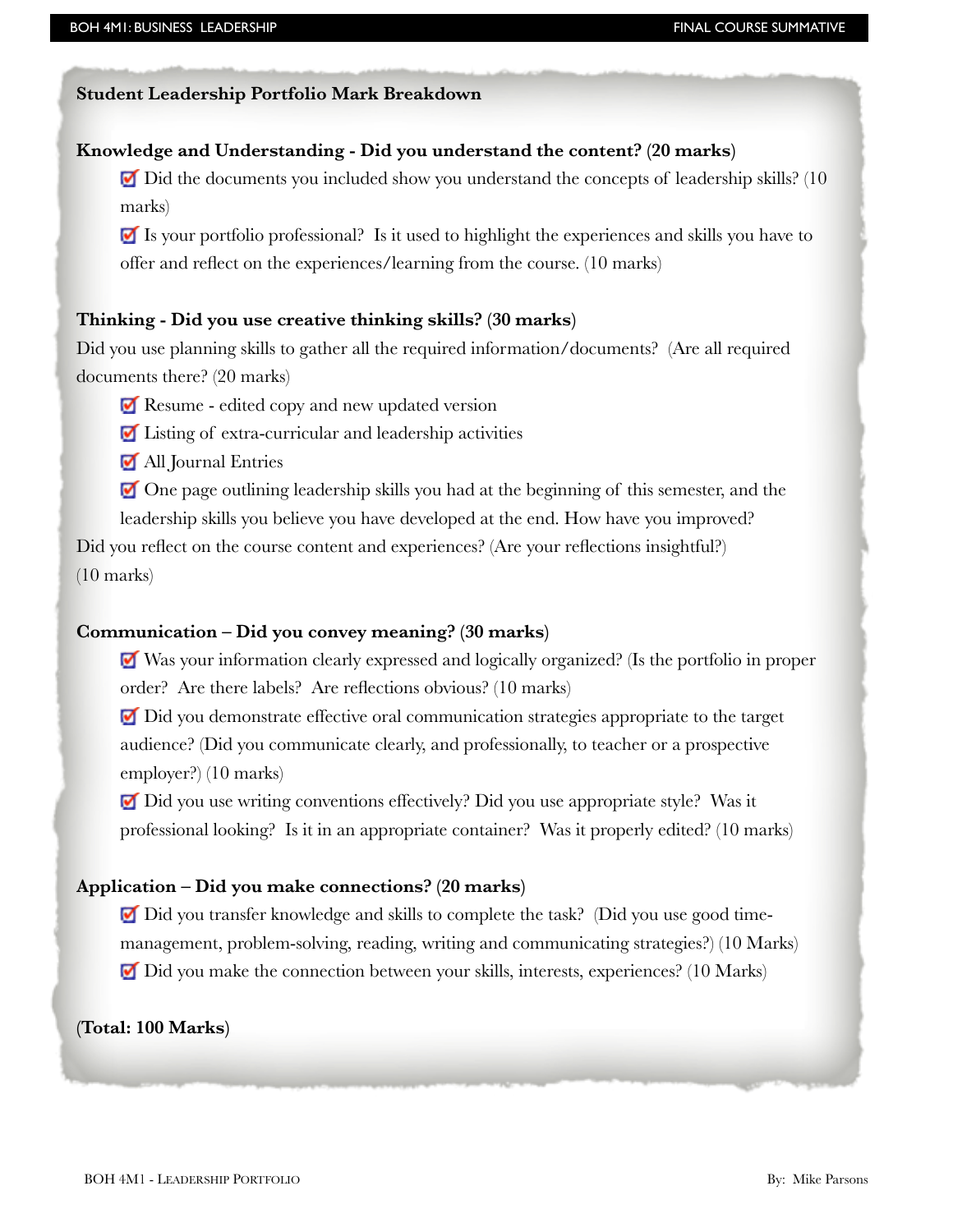#### **Student Leadership Portfolio Mark Breakdown**

## **Knowledge and Understanding - Did you understand the content? (20 marks)**

 $\blacksquare$  Did the documents you included show you understand the concepts of leadership skills? (10 marks)

 Is your portfolio professional? Is it used to highlight the experiences and skills you have to offer and reflect on the experiences/learning from the course. (10 marks)

#### **Thinking - Did you use creative thinking skills? (30 marks)**

Did you use planning skills to gather all the required information/documents? (Are all required documents there? (20 marks)

Resume - edited copy and new updated version

Listing of extra-curricular and leadership activities

All Journal Entries

 One page outlining leadership skills you had at the beginning of this semester, and the leadership skills you believe you have developed at the end. How have you improved?

Did you reflect on the course content and experiences? (Are your reflections insightful?) (10 marks)

#### **Communication – Did you convey meaning? (30 marks)**

 Was your information clearly expressed and logically organized? (Is the portfolio in proper order? Are there labels? Are reflections obvious? (10 marks)

 Did you demonstrate effective oral communication strategies appropriate to the target audience? (Did you communicate clearly, and professionally, to teacher or a prospective employer?) (10 marks)

Did you use writing conventions effectively? Did you use appropriate style? Was it professional looking? Is it in an appropriate container? Was it properly edited? (10 marks)

#### **Application – Did you make connections? (20 marks)**

Did you transfer knowledge and skills to complete the task? (Did you use good timemanagement, problem-solving, reading, writing and communicating strategies?) (10 Marks) Did you make the connection between your skills, interests, experiences? (10 Marks)

**(Total: 100 Marks)**